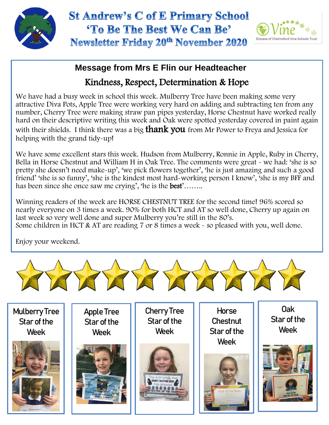

## **St Andrew's C of E Primary School** 'To Be The Best We Can Be' **Newsletter Friday 20th November 2020**



## **Message from Mrs E Flin our Headteacher**

## Kindness, Respect, Determination & Hope

We have had a busy week in school this week. Mulberry Tree have been making some very attractive Diva Pots, Apple Tree were working very hard on adding and subtracting ten from any number, Cherry Tree were making straw pan pipes yesterday, Horse Chestnut have worked really hard on their descriptive writing this week and Oak were spotted yesterday covered in paint again with their shields. I think there was a big **thank you** from Mr Power to Freya and Jessica for helping with the grand tidy-up!

We have some excellent stars this week. Hudson from Mulberry, Ronnie in Apple, Ruby in Cherry, Bella in Horse Chestnut and William H in Oak Tree. The comments were great - we had: 'she is so pretty she doesn't need make-up', 'we pick flowers together', 'he is just amazing and such a good friend' 'she is so funny', 'she is the kindest most hard-working person I know', 'she is my BFF and has been since she once saw me crying', 'he is the **best'**........

 Winning readers of the week are HORSE CHESTNUT TREE for the second time! 96% scored so nearly everyone on 3 times a week. 90% for both HCT and AT so well done, Cherry up again on last week so very well done and super Mulberry you're still in the 80's. Some children in HCT & AT are reading 7 or 8 times a week - so pleased with you, well done.

Enjoy your weekend.